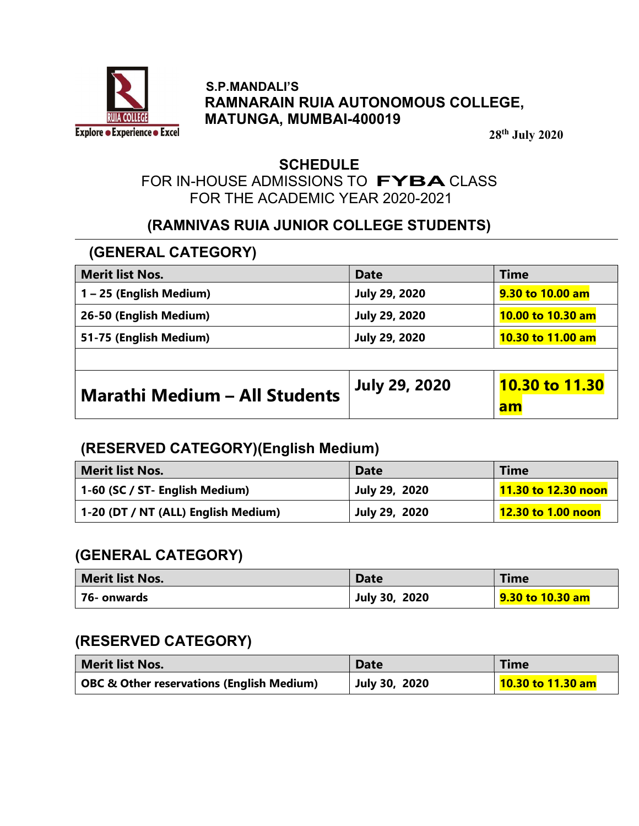

### S.P.MANDALI'S RAMNARAIN RUIA AUTONOMOUS COLLEGE, MATUNGA, MUMBAI-400019

28th July 2020

### **SCHEDULE**

# FOR IN-HOUSE ADMISSIONS TO FYBA CLASS FOR THE ACADEMIC YEAR 2020-2021

# (RAMNIVAS RUIA JUNIOR COLLEGE STUDENTS)

# (GENERAL CATEGORY)

| <b>Merit list Nos.</b>               | <b>Date</b>          | <b>Time</b>           |
|--------------------------------------|----------------------|-----------------------|
| 1-25 (English Medium)                | <b>July 29, 2020</b> | 9.30 to 10.00 am      |
| 26-50 (English Medium)               | <b>July 29, 2020</b> | 10.00 to 10.30 am     |
| 51-75 (English Medium)               | <b>July 29, 2020</b> | 10.30 to 11.00 am     |
|                                      |                      |                       |
| <b>Marathi Medium - All Students</b> | <b>July 29, 2020</b> | <b>10.30 to 11.30</b> |
|                                      |                      | am                    |

### (RESERVED CATEGORY)(English Medium)

| <b>Merit list Nos.</b>              | <b>Date</b>          | <b>Time</b>                |
|-------------------------------------|----------------------|----------------------------|
| 1-60 (SC / ST- English Medium)      | <b>July 29, 2020</b> | <b>11.30 to 12.30 noon</b> |
| 1-20 (DT / NT (ALL) English Medium) | <b>July 29, 2020</b> | 12.30 to 1.00 noon         |

### (GENERAL CATEGORY)

| Merit list Nos. | <b>Date</b>          | Time             |
|-----------------|----------------------|------------------|
| 76- onwards     | <b>July 30, 2020</b> | 9.30 to 10.30 am |

# (RESERVED CATEGORY)

| <b>Merit list Nos.</b>                               | <b>Date</b>          | <b>Time</b>       |
|------------------------------------------------------|----------------------|-------------------|
| <b>OBC &amp; Other reservations (English Medium)</b> | <b>July 30, 2020</b> | 10.30 to 11.30 am |